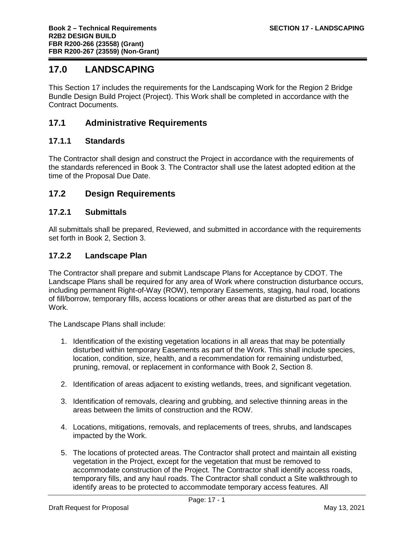# **17.0 LANDSCAPING**

This Section 17 includes the requirements for the Landscaping Work for the Region 2 Bridge Bundle Design Build Project (Project). This Work shall be completed in accordance with the Contract Documents.

### **17.1 Administrative Requirements**

#### **17.1.1 Standards**

The Contractor shall design and construct the Project in accordance with the requirements of the standards referenced in Book 3. The Contractor shall use the latest adopted edition at the time of the Proposal Due Date.

### **17.2 Design Requirements**

#### **17.2.1 Submittals**

All submittals shall be prepared, Reviewed, and submitted in accordance with the requirements set forth in Book 2, Section 3.

#### **17.2.2 Landscape Plan**

The Contractor shall prepare and submit Landscape Plans for Acceptance by CDOT. The Landscape Plans shall be required for any area of Work where construction disturbance occurs, including permanent Right-of-Way (ROW), temporary Easements, staging, haul road, locations of fill/borrow, temporary fills, access locations or other areas that are disturbed as part of the Work.

The Landscape Plans shall include:

- 1. Identification of the existing vegetation locations in all areas that may be potentially disturbed within temporary Easements as part of the Work. This shall include species, location, condition, size, health, and a recommendation for remaining undisturbed, pruning, removal, or replacement in conformance with Book 2, Section 8.
- 2. Identification of areas adjacent to existing wetlands, trees, and significant vegetation.
- 3. Identification of removals, clearing and grubbing, and selective thinning areas in the areas between the limits of construction and the ROW.
- 4. Locations, mitigations, removals, and replacements of trees, shrubs, and landscapes impacted by the Work.
- 5. The locations of protected areas. The Contractor shall protect and maintain all existing vegetation in the Project, except for the vegetation that must be removed to accommodate construction of the Project. The Contractor shall identify access roads, temporary fills, and any haul roads. The Contractor shall conduct a Site walkthrough to identify areas to be protected to accommodate temporary access features. All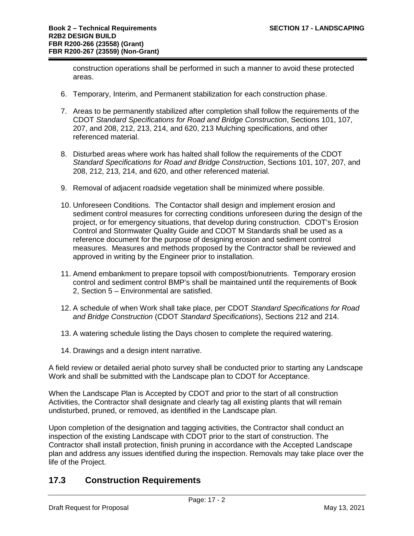construction operations shall be performed in such a manner to avoid these protected areas.

- 6. Temporary, Interim, and Permanent stabilization for each construction phase.
- 7. Areas to be permanently stabilized after completion shall follow the requirements of the CDOT *Standard Specifications for Road and Bridge Construction*, Sections 101, 107, 207, and 208, 212, 213, 214, and 620, 213 Mulching specifications, and other referenced material.
- 8. Disturbed areas where work has halted shall follow the requirements of the CDOT *Standard Specifications for Road and Bridge Construction*, Sections 101, 107, 207, and 208, 212, 213, 214, and 620, and other referenced material.
- 9. Removal of adjacent roadside vegetation shall be minimized where possible.
- 10. Unforeseen Conditions. The Contactor shall design and implement erosion and sediment control measures for correcting conditions unforeseen during the design of the project, or for emergency situations, that develop during construction. CDOT's Erosion Control and Stormwater Quality Guide and CDOT M Standards shall be used as a reference document for the purpose of designing erosion and sediment control measures. Measures and methods proposed by the Contractor shall be reviewed and approved in writing by the Engineer prior to installation.
- 11. Amend embankment to prepare topsoil with compost/bionutrients. Temporary erosion control and sediment control BMP's shall be maintained until the requirements of Book 2, Section 5 – Environmental are satisfied.
- 12. A schedule of when Work shall take place, per CDOT *Standard Specifications for Road and Bridge Construction* (CDOT *Standard Specifications*), Sections 212 and 214.
- 13. A watering schedule listing the Days chosen to complete the required watering.
- 14. Drawings and a design intent narrative.

A field review or detailed aerial photo survey shall be conducted prior to starting any Landscape Work and shall be submitted with the Landscape plan to CDOT for Acceptance.

When the Landscape Plan is Accepted by CDOT and prior to the start of all construction Activities, the Contractor shall designate and clearly tag all existing plants that will remain undisturbed, pruned, or removed, as identified in the Landscape plan.

Upon completion of the designation and tagging activities, the Contractor shall conduct an inspection of the existing Landscape with CDOT prior to the start of construction. The Contractor shall install protection, finish pruning in accordance with the Accepted Landscape plan and address any issues identified during the inspection. Removals may take place over the life of the Project.

## **17.3 Construction Requirements**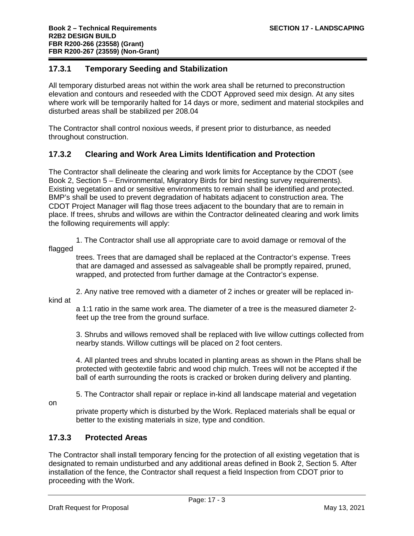#### **17.3.1 Temporary Seeding and Stabilization**

All temporary disturbed areas not within the work area shall be returned to preconstruction elevation and contours and reseeded with the CDOT Approved seed mix design. At any sites where work will be temporarily halted for 14 days or more, sediment and material stockpiles and disturbed areas shall be stabilized per 208.04

The Contractor shall control noxious weeds, if present prior to disturbance, as needed throughout construction.

### **17.3.2 Clearing and Work Area Limits Identification and Protection**

The Contractor shall delineate the clearing and work limits for Acceptance by the CDOT (see Book 2, Section 5 – Environmental, Migratory Birds for bird nesting survey requirements). Existing vegetation and or sensitive environments to remain shall be identified and protected. BMP's shall be used to prevent degradation of habitats adjacent to construction area. The CDOT Project Manager will flag those trees adjacent to the boundary that are to remain in place. If trees, shrubs and willows are within the Contractor delineated clearing and work limits the following requirements will apply:

1. The Contractor shall use all appropriate care to avoid damage or removal of the flagged

trees. Trees that are damaged shall be replaced at the Contractor's expense. Trees that are damaged and assessed as salvageable shall be promptly repaired, pruned, wrapped, and protected from further damage at the Contractor's expense.

2. Any native tree removed with a diameter of 2 inches or greater will be replaced in-

kind at

a 1:1 ratio in the same work area. The diameter of a tree is the measured diameter 2 feet up the tree from the ground surface.

3. Shrubs and willows removed shall be replaced with live willow cuttings collected from nearby stands. Willow cuttings will be placed on 2 foot centers.

4. All planted trees and shrubs located in planting areas as shown in the Plans shall be protected with geotextile fabric and wood chip mulch. Trees will not be accepted if the ball of earth surrounding the roots is cracked or broken during delivery and planting.

5. The Contractor shall repair or replace in-kind all landscape material and vegetation

on

private property which is disturbed by the Work. Replaced materials shall be equal or better to the existing materials in size, type and condition.

### **17.3.3 Protected Areas**

The Contractor shall install temporary fencing for the protection of all existing vegetation that is designated to remain undisturbed and any additional areas defined in Book 2, Section 5. After installation of the fence, the Contractor shall request a field Inspection from CDOT prior to proceeding with the Work.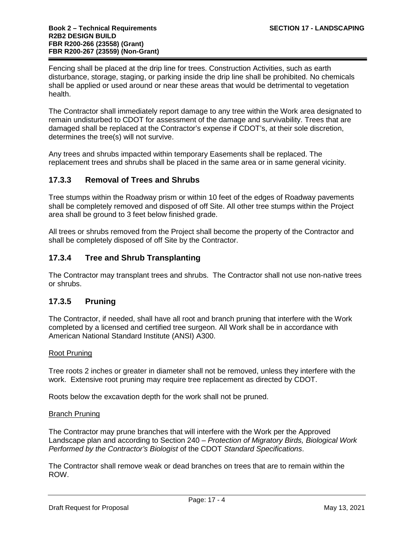Fencing shall be placed at the drip line for trees. Construction Activities, such as earth disturbance, storage, staging, or parking inside the drip line shall be prohibited. No chemicals shall be applied or used around or near these areas that would be detrimental to vegetation health.

The Contractor shall immediately report damage to any tree within the Work area designated to remain undisturbed to CDOT for assessment of the damage and survivability. Trees that are damaged shall be replaced at the Contractor's expense if CDOT's, at their sole discretion, determines the tree(s) will not survive.

Any trees and shrubs impacted within temporary Easements shall be replaced. The replacement trees and shrubs shall be placed in the same area or in same general vicinity.

### **17.3.3 Removal of Trees and Shrubs**

Tree stumps within the Roadway prism or within 10 feet of the edges of Roadway pavements shall be completely removed and disposed of off Site. All other tree stumps within the Project area shall be ground to 3 feet below finished grade.

All trees or shrubs removed from the Project shall become the property of the Contractor and shall be completely disposed of off Site by the Contractor.

### **17.3.4 Tree and Shrub Transplanting**

The Contractor may transplant trees and shrubs. The Contractor shall not use non-native trees or shrubs.

### **17.3.5 Pruning**

The Contractor, if needed, shall have all root and branch pruning that interfere with the Work completed by a licensed and certified tree surgeon. All Work shall be in accordance with American National Standard Institute (ANSI) A300.

#### Root Pruning

Tree roots 2 inches or greater in diameter shall not be removed, unless they interfere with the work. Extensive root pruning may require tree replacement as directed by CDOT.

Roots below the excavation depth for the work shall not be pruned.

#### Branch Pruning

The Contractor may prune branches that will interfere with the Work per the Approved Landscape plan and according to Section 240 – *Protection of Migratory Birds, Biological Work Performed by the Contractor's Biologist* of the CDOT *Standard Specifications*.

The Contractor shall remove weak or dead branches on trees that are to remain within the ROW.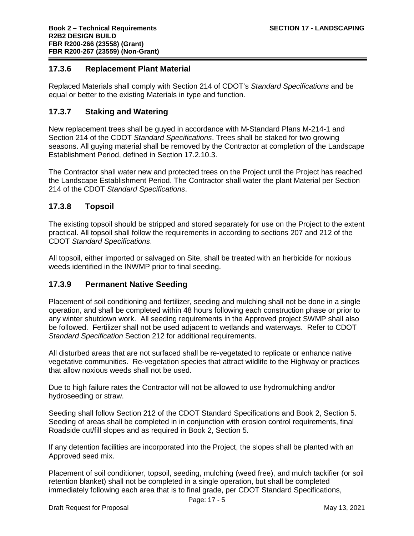#### **17.3.6 Replacement Plant Material**

Replaced Materials shall comply with Section 214 of CDOT's *Standard Specifications* and be equal or better to the existing Materials in type and function.

#### **17.3.7 Staking and Watering**

New replacement trees shall be guyed in accordance with M-Standard Plans M-214-1 and Section 214 of the CDOT *Standard Specifications*. Trees shall be staked for two growing seasons. All guying material shall be removed by the Contractor at completion of the Landscape Establishment Period, defined in Section 17.2.10.3.

The Contractor shall water new and protected trees on the Project until the Project has reached the Landscape Establishment Period. The Contractor shall water the plant Material per Section 214 of the CDOT *Standard Specifications*.

#### **17.3.8 Topsoil**

The existing topsoil should be stripped and stored separately for use on the Project to the extent practical. All topsoil shall follow the requirements in according to sections 207 and 212 of the CDOT *Standard Specifications*.

All topsoil, either imported or salvaged on Site, shall be treated with an herbicide for noxious weeds identified in the INWMP prior to final seeding.

### **17.3.9 Permanent Native Seeding**

Placement of soil conditioning and fertilizer, seeding and mulching shall not be done in a single operation, and shall be completed within 48 hours following each construction phase or prior to any winter shutdown work. All seeding requirements in the Approved project SWMP shall also be followed. Fertilizer shall not be used adjacent to wetlands and waterways. Refer to CDOT *Standard Specification* Section 212 for additional requirements.

All disturbed areas that are not surfaced shall be re-vegetated to replicate or enhance native vegetative communities. Re-vegetation species that attract wildlife to the Highway or practices that allow noxious weeds shall not be used.

Due to high failure rates the Contractor will not be allowed to use hydromulching and/or hydroseeding or straw.

Seeding shall follow Section 212 of the CDOT Standard Specifications and Book 2, Section 5. Seeding of areas shall be completed in in conjunction with erosion control requirements, final Roadside cut/fill slopes and as required in Book 2, Section 5.

If any detention facilities are incorporated into the Project, the slopes shall be planted with an Approved seed mix.

Placement of soil conditioner, topsoil, seeding, mulching (weed free), and mulch tackifier (or soil retention blanket) shall not be completed in a single operation, but shall be completed immediately following each area that is to final grade, per CDOT Standard Specifications,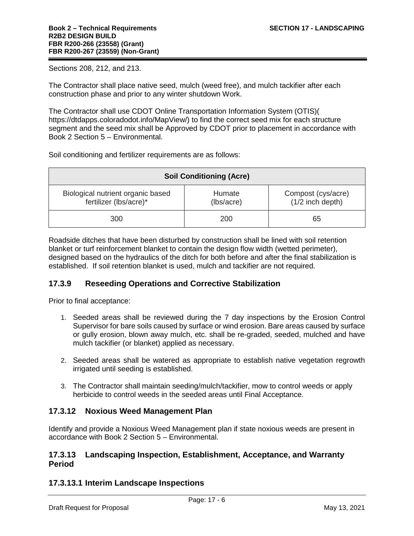Sections 208, 212, and 213.

The Contractor shall place native seed, mulch (weed free), and mulch tackifier after each construction phase and prior to any winter shutdown Work.

The Contractor shall use CDOT Online Transportation Information System (OTIS)( https://dtdapps.coloradodot.info/MapView/) to find the correct seed mix for each structure segment and the seed mix shall be Approved by CDOT prior to placement in accordance with Book 2 Section 5 – Environmental.

Soil conditioning and fertilizer requirements are as follows:

| <b>Soil Conditioning (Acre)</b>                             |                      |                                          |
|-------------------------------------------------------------|----------------------|------------------------------------------|
| Biological nutrient organic based<br>fertilizer (lbs/acre)* | Humate<br>(lbs/acre) | Compost (cys/acre)<br>$(1/2$ inch depth) |
| 300                                                         | 200                  | 65                                       |

Roadside ditches that have been disturbed by construction shall be lined with soil retention blanket or turf reinforcement blanket to contain the design flow width (wetted perimeter), designed based on the hydraulics of the ditch for both before and after the final stabilization is established. If soil retention blanket is used, mulch and tackifier are not required.

### **17.3.9 Reseeding Operations and Corrective Stabilization**

Prior to final acceptance:

- 1. Seeded areas shall be reviewed during the 7 day inspections by the Erosion Control Supervisor for bare soils caused by surface or wind erosion. Bare areas caused by surface or gully erosion, blown away mulch, etc. shall be re-graded, seeded, mulched and have mulch tackifier (or blanket) applied as necessary.
- 2. Seeded areas shall be watered as appropriate to establish native vegetation regrowth irrigated until seeding is established.
- 3. The Contractor shall maintain seeding/mulch/tackifier, mow to control weeds or apply herbicide to control weeds in the seeded areas until Final Acceptance.

#### **17.3.12 Noxious Weed Management Plan**

Identify and provide a Noxious Weed Management plan if state noxious weeds are present in accordance with Book 2 Section 5 – Environmental.

#### **17.3.13 Landscaping Inspection, Establishment, Acceptance, and Warranty Period**

### **17.3.13.1 Interim Landscape Inspections**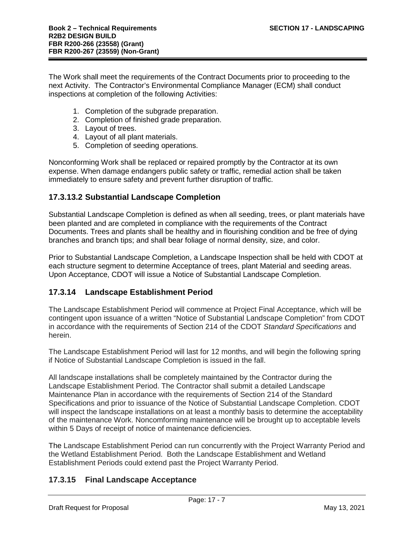The Work shall meet the requirements of the Contract Documents prior to proceeding to the next Activity. The Contractor's Environmental Compliance Manager (ECM) shall conduct inspections at completion of the following Activities:

- 1. Completion of the subgrade preparation.
- 2. Completion of finished grade preparation.
- 3. Layout of trees.
- 4. Layout of all plant materials.
- 5. Completion of seeding operations.

Nonconforming Work shall be replaced or repaired promptly by the Contractor at its own expense. When damage endangers public safety or traffic, remedial action shall be taken immediately to ensure safety and prevent further disruption of traffic.

### **17.3.13.2 Substantial Landscape Completion**

Substantial Landscape Completion is defined as when all seeding, trees, or plant materials have been planted and are completed in compliance with the requirements of the Contract Documents. Trees and plants shall be healthy and in flourishing condition and be free of dying branches and branch tips; and shall bear foliage of normal density, size, and color.

Prior to Substantial Landscape Completion, a Landscape Inspection shall be held with CDOT at each structure segment to determine Acceptance of trees, plant Material and seeding areas. Upon Acceptance, CDOT will issue a Notice of Substantial Landscape Completion.

### **17.3.14 Landscape Establishment Period**

The Landscape Establishment Period will commence at Project Final Acceptance, which will be contingent upon issuance of a written "Notice of Substantial Landscape Completion" from CDOT in accordance with the requirements of Section 214 of the CDOT *Standard Specifications* and herein.

The Landscape Establishment Period will last for 12 months, and will begin the following spring if Notice of Substantial Landscape Completion is issued in the fall.

All landscape installations shall be completely maintained by the Contractor during the Landscape Establishment Period. The Contractor shall submit a detailed Landscape Maintenance Plan in accordance with the requirements of Section 214 of the Standard Specifications and prior to issuance of the Notice of Substantial Landscape Completion. CDOT will inspect the landscape installations on at least a monthly basis to determine the acceptability of the maintenance Work. Noncomforming maintenance will be brought up to acceptable levels within 5 Days of receipt of notice of maintenance deficiencies.

The Landscape Establishment Period can run concurrently with the Project Warranty Period and the Wetland Establishment Period. Both the Landscape Establishment and Wetland Establishment Periods could extend past the Project Warranty Period.

### **17.3.15 Final Landscape Acceptance**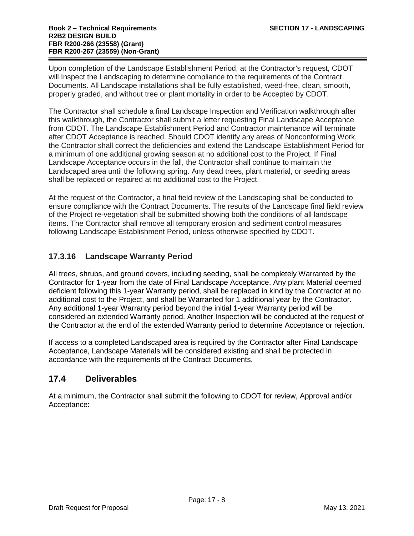Upon completion of the Landscape Establishment Period, at the Contractor's request, CDOT will Inspect the Landscaping to determine compliance to the requirements of the Contract Documents. All Landscape installations shall be fully established, weed-free, clean, smooth, properly graded, and without tree or plant mortality in order to be Accepted by CDOT.

The Contractor shall schedule a final Landscape Inspection and Verification walkthrough after this walkthrough, the Contractor shall submit a letter requesting Final Landscape Acceptance from CDOT. The Landscape Establishment Period and Contractor maintenance will terminate after CDOT Acceptance is reached. Should CDOT identify any areas of Nonconforming Work, the Contractor shall correct the deficiencies and extend the Landscape Establishment Period for a minimum of one additional growing season at no additional cost to the Project. If Final Landscape Acceptance occurs in the fall, the Contractor shall continue to maintain the Landscaped area until the following spring. Any dead trees, plant material, or seeding areas shall be replaced or repaired at no additional cost to the Project.

At the request of the Contractor, a final field review of the Landscaping shall be conducted to ensure compliance with the Contract Documents. The results of the Landscape final field review of the Project re-vegetation shall be submitted showing both the conditions of all landscape items. The Contractor shall remove all temporary erosion and sediment control measures following Landscape Establishment Period, unless otherwise specified by CDOT.

### **17.3.16 Landscape Warranty Period**

All trees, shrubs, and ground covers, including seeding, shall be completely Warranted by the Contractor for 1-year from the date of Final Landscape Acceptance. Any plant Material deemed deficient following this 1-year Warranty period, shall be replaced in kind by the Contractor at no additional cost to the Project, and shall be Warranted for 1 additional year by the Contractor. Any additional 1-year Warranty period beyond the initial 1-year Warranty period will be considered an extended Warranty period. Another Inspection will be conducted at the request of the Contractor at the end of the extended Warranty period to determine Acceptance or rejection.

If access to a completed Landscaped area is required by the Contractor after Final Landscape Acceptance, Landscape Materials will be considered existing and shall be protected in accordance with the requirements of the Contract Documents.

## **17.4 Deliverables**

At a minimum, the Contractor shall submit the following to CDOT for review, Approval and/or Acceptance: